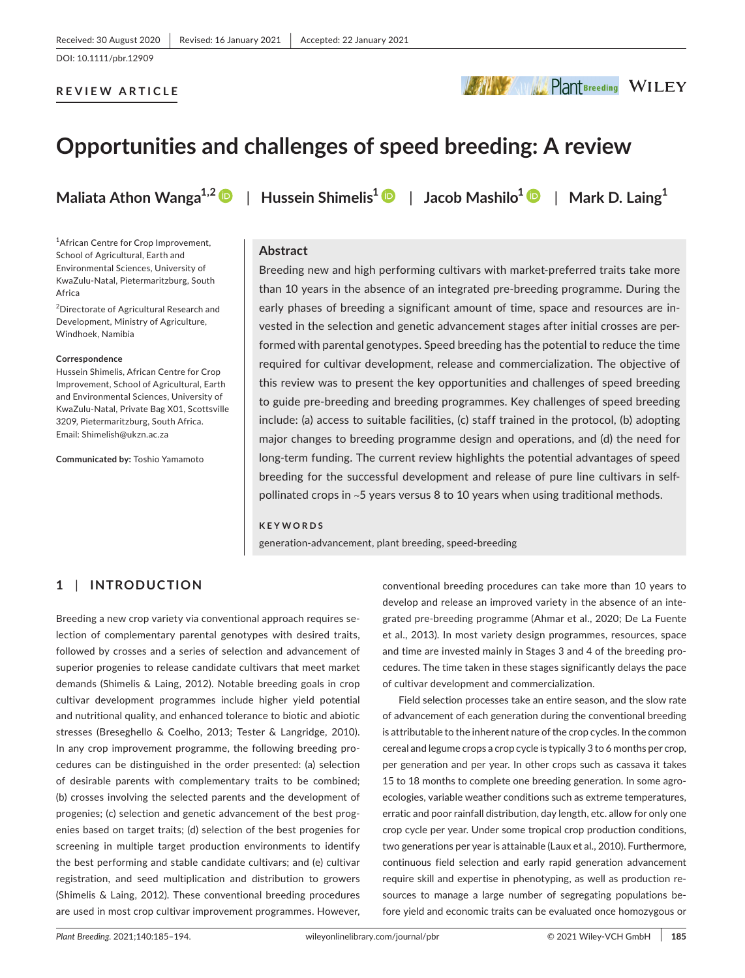### **REVIEW ARTICLE**



# **Opportunities and challenges of speed breeding: A review**

1 African Centre for Crop Improvement, School of Agricultural, Earth and Environmental Sciences, University of KwaZulu-Natal, Pietermaritzburg, South Africa

<sup>2</sup>Directorate of Agricultural Research and Development, Ministry of Agriculture, Windhoek, Namibia

#### **Correspondence**

Hussein Shimelis, African Centre for Crop Improvement, School of Agricultural, Earth and Environmental Sciences, University of KwaZulu-Natal, Private Bag X01, Scottsville 3209, Pietermaritzburg, South Africa. Email: [Shimelish@ukzn.ac.za](mailto:Shimelish@ukzn.ac.za)

**Communicated by:** Toshio Yamamoto

**Maliata Athon Wanga1,2** | **Hussein Shimelis1** | **Jacob Mashilo1** | **Mark D. Laing1**

### **Abstract**

Breeding new and high performing cultivars with market-preferred traits take more than 10 years in the absence of an integrated pre-breeding programme. During the early phases of breeding a significant amount of time, space and resources are invested in the selection and genetic advancement stages after initial crosses are performed with parental genotypes. Speed breeding has the potential to reduce the time required for cultivar development, release and commercialization. The objective of this review was to present the key opportunities and challenges of speed breeding to guide pre-breeding and breeding programmes. Key challenges of speed breeding include: (a) access to suitable facilities, (c) staff trained in the protocol, (b) adopting major changes to breeding programme design and operations, and (d) the need for long-term funding. The current review highlights the potential advantages of speed breeding for the successful development and release of pure line cultivars in selfpollinated crops in ~5 years versus 8 to 10 years when using traditional methods.

### **KEYWORDS**

generation-advancement, plant breeding, speed-breeding

### **1** | **INTRODUCTION**

Breeding a new crop variety via conventional approach requires selection of complementary parental genotypes with desired traits, followed by crosses and a series of selection and advancement of superior progenies to release candidate cultivars that meet market demands (Shimelis & Laing, 2012). Notable breeding goals in crop cultivar development programmes include higher yield potential and nutritional quality, and enhanced tolerance to biotic and abiotic stresses (Breseghello & Coelho, 2013; Tester & Langridge, 2010). In any crop improvement programme, the following breeding procedures can be distinguished in the order presented: (a) selection of desirable parents with complementary traits to be combined; (b) crosses involving the selected parents and the development of progenies; (c) selection and genetic advancement of the best progenies based on target traits; (d) selection of the best progenies for screening in multiple target production environments to identify the best performing and stable candidate cultivars; and (e) cultivar registration, and seed multiplication and distribution to growers (Shimelis & Laing, 2012). These conventional breeding procedures are used in most crop cultivar improvement programmes. However,

conventional breeding procedures can take more than 10 years to develop and release an improved variety in the absence of an integrated pre-breeding programme (Ahmar et al., 2020; De La Fuente et al., 2013). In most variety design programmes, resources, space and time are invested mainly in Stages 3 and 4 of the breeding procedures. The time taken in these stages significantly delays the pace of cultivar development and commercialization.

Field selection processes take an entire season, and the slow rate of advancement of each generation during the conventional breeding is attributable to the inherent nature of the crop cycles. In the common cereal and legume crops a crop cycle is typically 3 to 6 months per crop, per generation and per year. In other crops such as cassava it takes 15 to 18 months to complete one breeding generation. In some agroecologies, variable weather conditions such as extreme temperatures, erratic and poor rainfall distribution, day length, etc. allow for only one crop cycle per year. Under some tropical crop production conditions, two generations per year is attainable (Laux et al., 2010). Furthermore, continuous field selection and early rapid generation advancement require skill and expertise in phenotyping, as well as production resources to manage a large number of segregating populations before yield and economic traits can be evaluated once homozygous or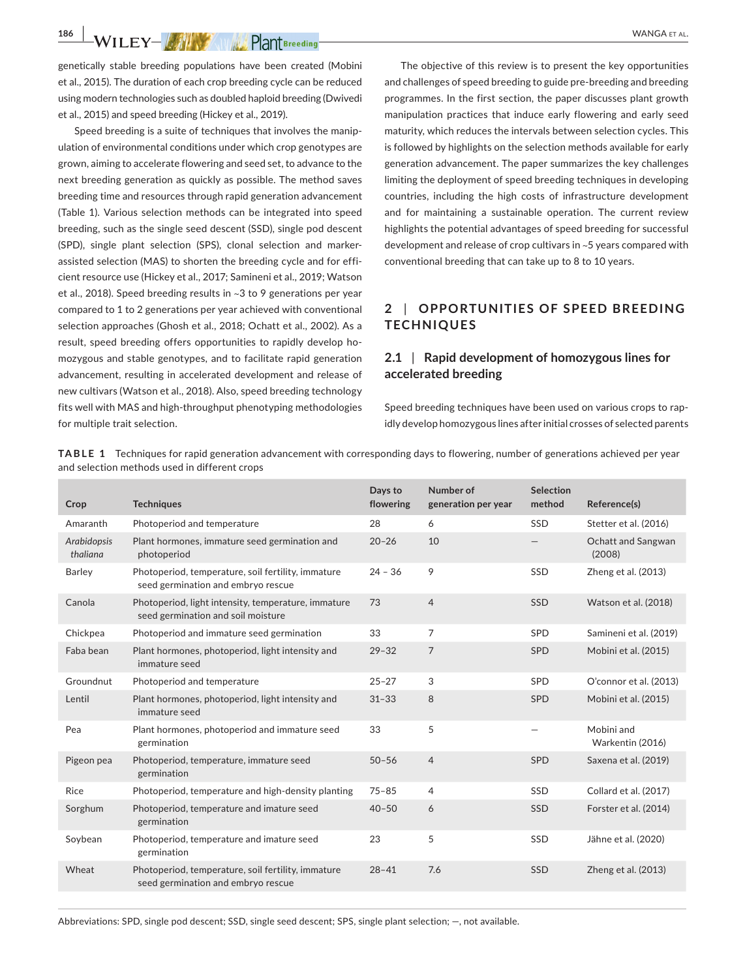genetically stable breeding populations have been created (Mobini et al., 2015). The duration of each crop breeding cycle can be reduced using modern technologies such as doubled haploid breeding (Dwivedi et al., 2015) and speed breeding (Hickey et al., 2019).

Speed breeding is a suite of techniques that involves the manipulation of environmental conditions under which crop genotypes are grown, aiming to accelerate flowering and seed set, to advance to the next breeding generation as quickly as possible. The method saves breeding time and resources through rapid generation advancement (Table 1). Various selection methods can be integrated into speed breeding, such as the single seed descent (SSD), single pod descent (SPD), single plant selection (SPS), clonal selection and markerassisted selection (MAS) to shorten the breeding cycle and for efficient resource use (Hickey et al., 2017; Samineni et al., 2019; Watson et al., 2018). Speed breeding results in ~3 to 9 generations per year compared to 1 to 2 generations per year achieved with conventional selection approaches (Ghosh et al., 2018; Ochatt et al., 2002). As a result, speed breeding offers opportunities to rapidly develop homozygous and stable genotypes, and to facilitate rapid generation advancement, resulting in accelerated development and release of new cultivars (Watson et al., 2018). Also, speed breeding technology fits well with MAS and high-throughput phenotyping methodologies for multiple trait selection.

The objective of this review is to present the key opportunities and challenges of speed breeding to guide pre-breeding and breeding programmes. In the first section, the paper discusses plant growth manipulation practices that induce early flowering and early seed maturity, which reduces the intervals between selection cycles. This is followed by highlights on the selection methods available for early generation advancement. The paper summarizes the key challenges limiting the deployment of speed breeding techniques in developing countries, including the high costs of infrastructure development and for maintaining a sustainable operation. The current review highlights the potential advantages of speed breeding for successful development and release of crop cultivars in ~5 years compared with conventional breeding that can take up to 8 to 10 years.

# **2** | **OPPORTUNITIES OF SPEED BREEDING TECHNIQUES**

# **2.1** | **Rapid development of homozygous lines for accelerated breeding**

Speed breeding techniques have been used on various crops to rapidly develop homozygous lines after initial crosses of selected parents

**TABLE 1** Techniques for rapid generation advancement with corresponding days to flowering, number of generations achieved per year and selection methods used in different crops

| Crop                           | <b>Techniques</b>                                                                         | Days to<br>flowering | Number of<br>generation per year | Selection<br>method | Reference(s)                   |
|--------------------------------|-------------------------------------------------------------------------------------------|----------------------|----------------------------------|---------------------|--------------------------------|
| Amaranth                       | Photoperiod and temperature                                                               | 28                   | 6                                | SSD                 | Stetter et al. (2016)          |
| <b>Arabidopsis</b><br>thaliana | Plant hormones, immature seed germination and<br>photoperiod                              | $20 - 26$            | 10                               |                     | Ochatt and Sangwan<br>(2008)   |
| <b>Barley</b>                  | Photoperiod, temperature, soil fertility, immature<br>seed germination and embryo rescue  | $24 - 36$            | 9                                | SSD                 | Zheng et al. (2013)            |
| Canola                         | Photoperiod, light intensity, temperature, immature<br>seed germination and soil moisture | 73                   | $\overline{4}$                   | SSD                 | Watson et al. (2018)           |
| Chickpea                       | Photoperiod and immature seed germination                                                 | 33                   | 7                                | <b>SPD</b>          | Samineni et al. (2019)         |
| Faba bean                      | Plant hormones, photoperiod, light intensity and<br>immature seed                         | $29 - 32$            | $\overline{7}$                   | <b>SPD</b>          | Mobini et al. (2015)           |
| Groundnut                      | Photoperiod and temperature                                                               | $25 - 27$            | 3                                | SPD                 | O'connor et al. (2013)         |
| Lentil                         | Plant hormones, photoperiod, light intensity and<br>immature seed                         | $31 - 33$            | 8                                | <b>SPD</b>          | Mobini et al. (2015)           |
| Pea                            | Plant hormones, photoperiod and immature seed<br>germination                              | 33                   | 5                                |                     | Mobini and<br>Warkentin (2016) |
| Pigeon pea                     | Photoperiod, temperature, immature seed<br>germination                                    | $50 - 56$            | $\overline{4}$                   | SPD                 | Saxena et al. (2019)           |
| Rice                           | Photoperiod, temperature and high-density planting                                        | $75 - 85$            | $\overline{4}$                   | SSD                 | Collard et al. (2017)          |
| Sorghum                        | Photoperiod, temperature and imature seed<br>germination                                  | $40 - 50$            | 6                                | <b>SSD</b>          | Forster et al. (2014)          |
| Soybean                        | Photoperiod, temperature and imature seed<br>germination                                  | 23                   | 5                                | SSD                 | Jähne et al. (2020)            |
| Wheat                          | Photoperiod, temperature, soil fertility, immature<br>seed germination and embryo rescue  | $28 - 41$            | 7.6                              | SSD                 | Zheng et al. (2013)            |

Abbreviations: SPD, single pod descent; SSD, single seed descent; SPS, single plant selection; —, not available.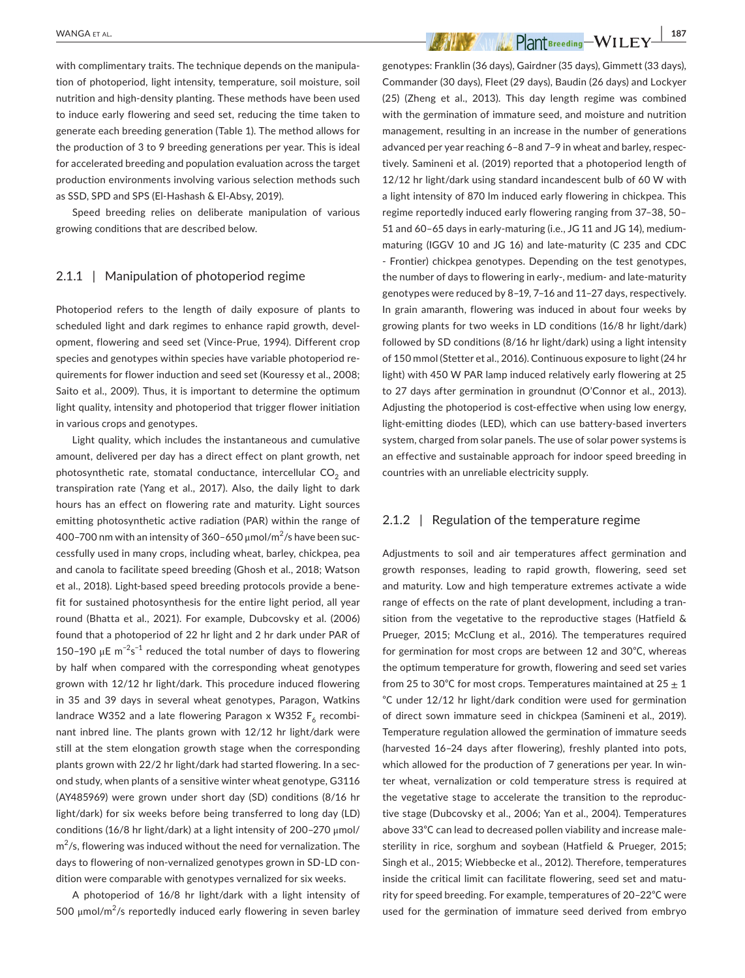with complimentary traits. The technique depends on the manipulation of photoperiod, light intensity, temperature, soil moisture, soil nutrition and high-density planting. These methods have been used to induce early flowering and seed set, reducing the time taken to generate each breeding generation (Table 1). The method allows for the production of 3 to 9 breeding generations per year. This is ideal for accelerated breeding and population evaluation across the target production environments involving various selection methods such as SSD, SPD and SPS (El-Hashash & El-Absy, 2019).

Speed breeding relies on deliberate manipulation of various growing conditions that are described below.

### 2.1.1 | Manipulation of photoperiod regime

Photoperiod refers to the length of daily exposure of plants to scheduled light and dark regimes to enhance rapid growth, development, flowering and seed set (Vince-Prue, 1994). Different crop species and genotypes within species have variable photoperiod requirements for flower induction and seed set (Kouressy et al., 2008; Saito et al., 2009). Thus, it is important to determine the optimum light quality, intensity and photoperiod that trigger flower initiation in various crops and genotypes.

Light quality, which includes the instantaneous and cumulative amount, delivered per day has a direct effect on plant growth, net photosynthetic rate, stomatal conductance, intercellular  $CO<sub>2</sub>$  and transpiration rate (Yang et al., 2017). Also, the daily light to dark hours has an effect on flowering rate and maturity. Light sources emitting photosynthetic active radiation (PAR) within the range of 400–700 nm with an intensity of 360–650  $\mu$ mol/m $^2$ /s have been successfully used in many crops, including wheat, barley, chickpea, pea and canola to facilitate speed breeding (Ghosh et al., 2018; Watson et al., 2018). Light-based speed breeding protocols provide a benefit for sustained photosynthesis for the entire light period, all year round (Bhatta et al., 2021). For example, Dubcovsky et al. (2006) found that a photoperiod of 22 hr light and 2 hr dark under PAR of 150-190  $\mu$ E m<sup>-2</sup>s<sup>-1</sup> reduced the total number of days to flowering by half when compared with the corresponding wheat genotypes grown with 12/12 hr light/dark. This procedure induced flowering in 35 and 39 days in several wheat genotypes, Paragon, Watkins landrace W352 and a late flowering Paragon x W352  $F<sub>6</sub>$  recombinant inbred line. The plants grown with 12/12 hr light/dark were still at the stem elongation growth stage when the corresponding plants grown with 22/2 hr light/dark had started flowering. In a second study, when plants of a sensitive winter wheat genotype, G3116 (AY485969) were grown under short day (SD) conditions (8/16 hr light/dark) for six weeks before being transferred to long day (LD) conditions (16/8 hr light/dark) at a light intensity of 200–270 μmol/  $m^2$ /s, flowering was induced without the need for vernalization. The days to flowering of non-vernalized genotypes grown in SD-LD condition were comparable with genotypes vernalized for six weeks.

A photoperiod of 16/8 hr light/dark with a light intensity of 500  $\mu$ mol/m<sup>2</sup>/s reportedly induced early flowering in seven barley

 **<u>MANGA ET AL.** 187</u>

genotypes: Franklin (36 days), Gairdner (35 days), Gimmett (33 days), Commander (30 days), Fleet (29 days), Baudin (26 days) and Lockyer (25) (Zheng et al., 2013). This day length regime was combined with the germination of immature seed, and moisture and nutrition management, resulting in an increase in the number of generations advanced per year reaching 6–8 and 7–9 in wheat and barley, respectively. Samineni et al. (2019) reported that a photoperiod length of 12/12 hr light/dark using standard incandescent bulb of 60 W with a light intensity of 870 lm induced early flowering in chickpea. This regime reportedly induced early flowering ranging from 37–38, 50– 51 and 60–65 days in early-maturing (i.e., JG 11 and JG 14), mediummaturing (IGGV 10 and JG 16) and late-maturity (C 235 and CDC - Frontier) chickpea genotypes. Depending on the test genotypes, the number of days to flowering in early-, medium- and late-maturity genotypes were reduced by 8–19, 7–16 and 11–27 days, respectively. In grain amaranth, flowering was induced in about four weeks by growing plants for two weeks in LD conditions (16/8 hr light/dark) followed by SD conditions (8/16 hr light/dark) using a light intensity of 150 mmol (Stetter et al., 2016). Continuous exposure to light (24 hr light) with 450 W PAR lamp induced relatively early flowering at 25 to 27 days after germination in groundnut (O'Connor et al., 2013). Adjusting the photoperiod is cost-effective when using low energy, light-emitting diodes (LED), which can use battery-based inverters system, charged from solar panels. The use of solar power systems is an effective and sustainable approach for indoor speed breeding in countries with an unreliable electricity supply.

### 2.1.2 | Regulation of the temperature regime

Adjustments to soil and air temperatures affect germination and growth responses, leading to rapid growth, flowering, seed set and maturity. Low and high temperature extremes activate a wide range of effects on the rate of plant development, including a transition from the vegetative to the reproductive stages (Hatfield & Prueger, 2015; McClung et al., 2016). The temperatures required for germination for most crops are between 12 and 30℃, whereas the optimum temperature for growth, flowering and seed set varies from 25 to 30°C for most crops. Temperatures maintained at 25  $\pm$  1 ℃ under 12/12 hr light/dark condition were used for germination of direct sown immature seed in chickpea (Samineni et al., 2019). Temperature regulation allowed the germination of immature seeds (harvested 16–24 days after flowering), freshly planted into pots, which allowed for the production of 7 generations per year. In winter wheat, vernalization or cold temperature stress is required at the vegetative stage to accelerate the transition to the reproductive stage (Dubcovsky et al., 2006; Yan et al., 2004). Temperatures above 33℃ can lead to decreased pollen viability and increase malesterility in rice, sorghum and soybean (Hatfield & Prueger, 2015; Singh et al., 2015; Wiebbecke et al., 2012). Therefore, temperatures inside the critical limit can facilitate flowering, seed set and maturity for speed breeding. For example, temperatures of 20–22℃ were used for the germination of immature seed derived from embryo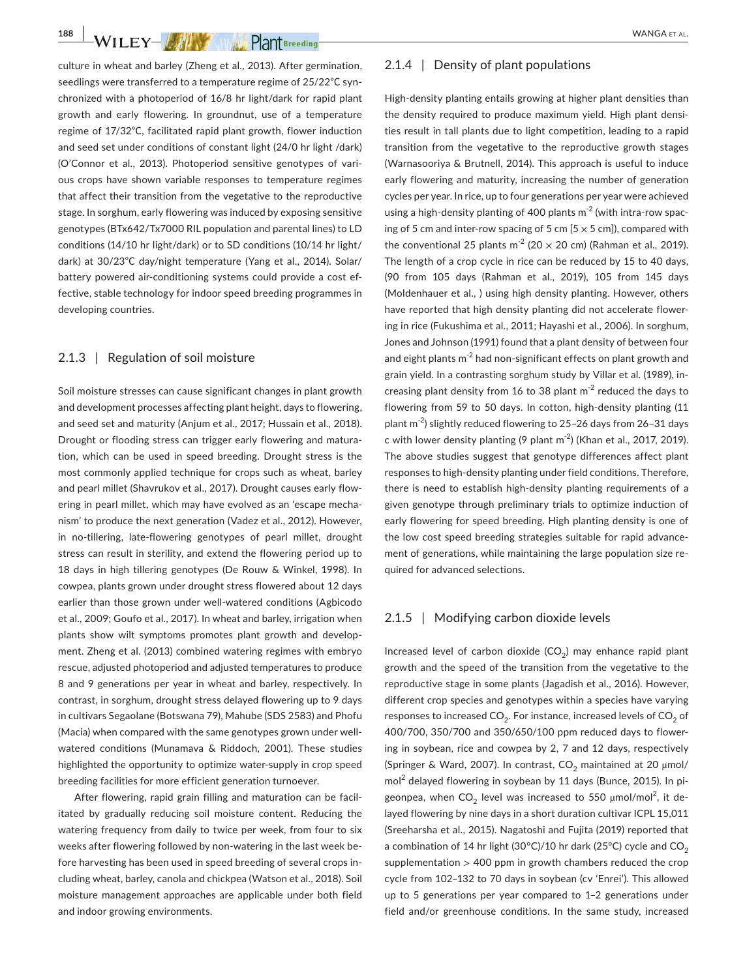**188 WANGA ET AL.** WANGA ET AL.

culture in wheat and barley (Zheng et al., 2013). After germination, seedlings were transferred to a temperature regime of 25/22<sup>°</sup>C synchronized with a photoperiod of 16/8 hr light/dark for rapid plant growth and early flowering. In groundnut, use of a temperature regime of 17/32℃, facilitated rapid plant growth, flower induction and seed set under conditions of constant light (24/0 hr light /dark) (O'Connor et al., 2013). Photoperiod sensitive genotypes of various crops have shown variable responses to temperature regimes that affect their transition from the vegetative to the reproductive stage. In sorghum, early flowering was induced by exposing sensitive genotypes (BTx642/Tx7000 RIL population and parental lines) to LD conditions (14/10 hr light/dark) or to SD conditions (10/14 hr light/ dark) at 30/23℃ day/night temperature (Yang et al., 2014). Solar/ battery powered air-conditioning systems could provide a cost effective, stable technology for indoor speed breeding programmes in developing countries.

### 2.1.3 | Regulation of soil moisture

Soil moisture stresses can cause significant changes in plant growth and development processes affecting plant height, days to flowering, and seed set and maturity (Anjum et al., 2017; Hussain et al., 2018). Drought or flooding stress can trigger early flowering and maturation, which can be used in speed breeding. Drought stress is the most commonly applied technique for crops such as wheat, barley and pearl millet (Shavrukov et al., 2017). Drought causes early flowering in pearl millet, which may have evolved as an 'escape mechanism' to produce the next generation (Vadez et al., 2012). However, in no-tillering, late-flowering genotypes of pearl millet, drought stress can result in sterility, and extend the flowering period up to 18 days in high tillering genotypes (De Rouw & Winkel, 1998). In cowpea, plants grown under drought stress flowered about 12 days earlier than those grown under well-watered conditions (Agbicodo et al., 2009; Goufo et al., 2017). In wheat and barley, irrigation when plants show wilt symptoms promotes plant growth and development. Zheng et al. (2013) combined watering regimes with embryo rescue, adjusted photoperiod and adjusted temperatures to produce 8 and 9 generations per year in wheat and barley, respectively. In contrast, in sorghum, drought stress delayed flowering up to 9 days in cultivars Segaolane (Botswana 79), Mahube (SDS 2583) and Phofu (Macia) when compared with the same genotypes grown under wellwatered conditions (Munamava & Riddoch, 2001). These studies highlighted the opportunity to optimize water-supply in crop speed breeding facilities for more efficient generation turnoever.

After flowering, rapid grain filling and maturation can be facilitated by gradually reducing soil moisture content. Reducing the watering frequency from daily to twice per week, from four to six weeks after flowering followed by non-watering in the last week before harvesting has been used in speed breeding of several crops including wheat, barley, canola and chickpea (Watson et al., 2018). Soil moisture management approaches are applicable under both field and indoor growing environments.

### 2.1.4 | Density of plant populations

High-density planting entails growing at higher plant densities than the density required to produce maximum yield. High plant densities result in tall plants due to light competition, leading to a rapid transition from the vegetative to the reproductive growth stages (Warnasooriya & Brutnell, 2014). This approach is useful to induce early flowering and maturity, increasing the number of generation cycles per year. In rice, up to four generations per year were achieved using a high-density planting of 400 plants  $\text{m}^2$  (with intra-row spacing of 5 cm and inter-row spacing of 5 cm  $[5 \times 5$  cm]), compared with the conventional 25 plants m<sup>-2</sup> (20  $\times$  20 cm) (Rahman et al., 2019). The length of a crop cycle in rice can be reduced by 15 to 40 days, (90 from 105 days (Rahman et al., 2019), 105 from 145 days (Moldenhauer et al., ) using high density planting. However, others have reported that high density planting did not accelerate flowering in rice (Fukushima et al., 2011; Hayashi et al., 2006). In sorghum, Jones and Johnson (1991) found that a plant density of between four and eight plants  $m^{-2}$  had non-significant effects on plant growth and grain yield. In a contrasting sorghum study by Villar et al. (1989), increasing plant density from 16 to 38 plant  $m<sup>-2</sup>$  reduced the days to flowering from 59 to 50 days. In cotton, high-density planting (11 plant m $^{-2}$ ) slightly reduced flowering to 25–26 days from 26–31 days c with lower density planting  $(9 \text{ plant m}^{-2})$  (Khan et al., 2017, 2019). The above studies suggest that genotype differences affect plant responses to high-density planting under field conditions. Therefore, there is need to establish high-density planting requirements of a given genotype through preliminary trials to optimize induction of early flowering for speed breeding. High planting density is one of the low cost speed breeding strategies suitable for rapid advancement of generations, while maintaining the large population size required for advanced selections.

#### 2.1.5 | Modifying carbon dioxide levels

Increased level of carbon dioxide ( $CO<sub>2</sub>$ ) may enhance rapid plant growth and the speed of the transition from the vegetative to the reproductive stage in some plants (Jagadish et al., 2016). However, different crop species and genotypes within a species have varying responses to increased  $CO<sub>2</sub>$ . For instance, increased levels of  $CO<sub>2</sub>$  of 400/700, 350/700 and 350/650/100 ppm reduced days to flowering in soybean, rice and cowpea by 2, 7 and 12 days, respectively (Springer & Ward, 2007). In contrast,  $CO<sub>2</sub>$  maintained at 20 µmol/ mol<sup>2</sup> delayed flowering in soybean by 11 days (Bunce, 2015). In pigeonpea, when CO $_2$  level was increased to 550  $\mu$ mol/mol $^2$ , it delayed flowering by nine days in a short duration cultivar ICPL 15,011 (Sreeharsha et al., 2015). Nagatoshi and Fujita (2019) reported that a combination of 14 hr light (30°C)/10 hr dark (25°C) cycle and  $CO<sub>2</sub>$ supplementation > 400 ppm in growth chambers reduced the crop cycle from 102–132 to 70 days in soybean (cv 'Enrei'). This allowed up to 5 generations per year compared to 1–2 generations under field and/or greenhouse conditions. In the same study, increased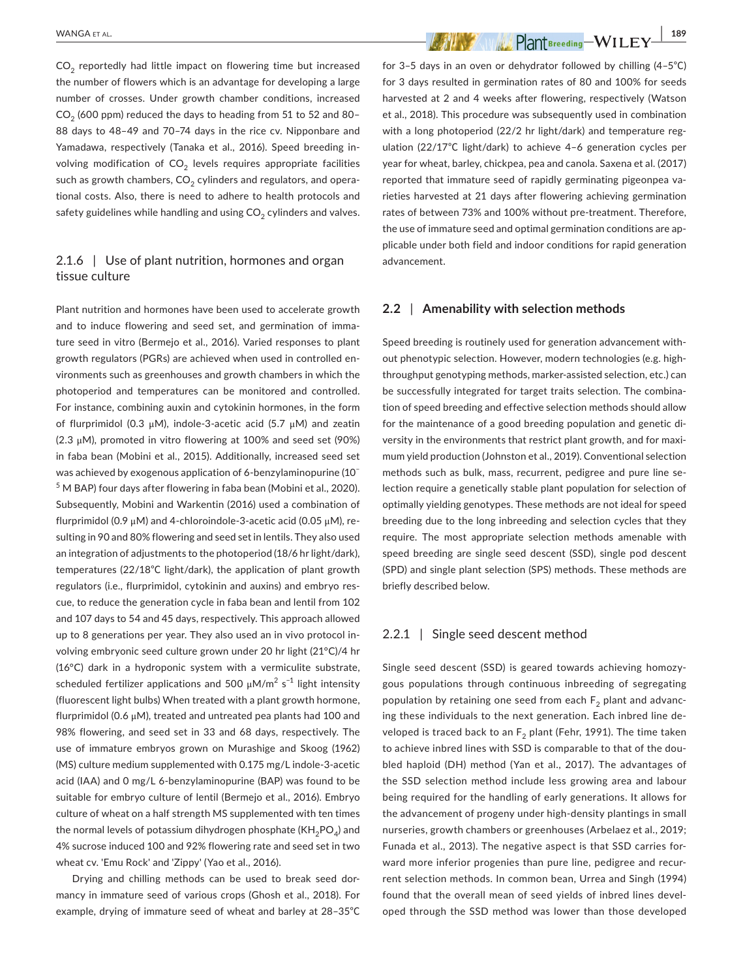CO<sub>2</sub> reportedly had little impact on flowering time but increased the number of flowers which is an advantage for developing a large number of crosses. Under growth chamber conditions, increased  $CO<sub>2</sub>$  (600 ppm) reduced the days to heading from 51 to 52 and 80-88 days to 48–49 and 70–74 days in the rice cv. Nipponbare and Yamadawa, respectively (Tanaka et al., 2016). Speed breeding involving modification of  $CO<sub>2</sub>$  levels requires appropriate facilities such as growth chambers,  $CO<sub>2</sub>$  cylinders and regulators, and operational costs. Also, there is need to adhere to health protocols and safety guidelines while handling and using  $CO<sub>2</sub>$  cylinders and valves.

## 2.1.6 | Use of plant nutrition, hormones and organ tissue culture

Plant nutrition and hormones have been used to accelerate growth and to induce flowering and seed set, and germination of immature seed in vitro (Bermejo et al., 2016). Varied responses to plant growth regulators (PGRs) are achieved when used in controlled environments such as greenhouses and growth chambers in which the photoperiod and temperatures can be monitored and controlled. For instance, combining auxin and cytokinin hormones, in the form of flurprimidol (0.3 μM), indole-3-acetic acid (5.7 μM) and zeatin (2.3 μM), promoted in vitro flowering at 100% and seed set (90%) in faba bean (Mobini et al., 2015). Additionally, increased seed set was achieved by exogenous application of 6-benzylaminopurine (10– <sup>5</sup> M BAP) four days after flowering in faba bean (Mobini et al., 2020). Subsequently, Mobini and Warkentin (2016) used a combination of flurprimidol (0.9 μM) and 4-chloroindole-3-acetic acid (0.05 μM), resulting in 90 and 80% flowering and seed set in lentils. They also used an integration of adjustments to the photoperiod (18/6 hr light/dark), temperatures (22/18℃ light/dark), the application of plant growth regulators (i.e., flurprimidol, cytokinin and auxins) and embryo rescue, to reduce the generation cycle in faba bean and lentil from 102 and 107 days to 54 and 45 days, respectively. This approach allowed up to 8 generations per year. They also used an in vivo protocol involving embryonic seed culture grown under 20 hr light (21°C)/4 hr (16°C) dark in a hydroponic system with a vermiculite substrate, scheduled fertilizer applications and 500  $\mu$ M/m $^2$  s $^{-1}$  light intensity (fluorescent light bulbs) When treated with a plant growth hormone, flurprimidol (0.6 μM), treated and untreated pea plants had 100 and 98% flowering, and seed set in 33 and 68 days, respectively. The use of immature embryos grown on Murashige and Skoog (1962) (MS) culture medium supplemented with 0.175 mg/L indole-3-acetic acid (IAA) and 0 mg/L 6-benzylaminopurine (BAP) was found to be suitable for embryo culture of lentil (Bermejo et al., 2016). Embryo culture of wheat on a half strength MS supplemented with ten times the normal levels of potassium dihydrogen phosphate  $(KH_2PO_4)$  and 4% sucrose induced 100 and 92% flowering rate and seed set in two wheat cv. 'Emu Rock' and 'Zippy' (Yao et al., 2016).

Drying and chilling methods can be used to break seed dormancy in immature seed of various crops (Ghosh et al., 2018). For example, drying of immature seed of wheat and barley at 28–35℃

 **<u>MANGA ET AL.</u> 189**<br>*I*  $\frac{1}{2}$  **D** and  $\frac{1}{2}$  **D** and  $\frac{1}{2}$  **D** and  $\frac{1}{2}$  **D** and  $\frac{1}{2}$  **D** and  $\frac{1}{2}$  **D** and  $\frac{1}{2}$  **D** and  $\frac{1}{2}$  **D**  $\frac{1}{2}$  **D**  $\frac{1}{2}$  **D**  $\frac{1}{2}$  **D**  $\frac{1}{2}$  **D** 

for 3–5 days in an oven or dehydrator followed by chilling (4–5℃) for 3 days resulted in germination rates of 80 and 100% for seeds harvested at 2 and 4 weeks after flowering, respectively (Watson et al., 2018). This procedure was subsequently used in combination with a long photoperiod (22/2 hr light/dark) and temperature regulation (22/17℃ light/dark) to achieve 4–6 generation cycles per year for wheat, barley, chickpea, pea and canola. Saxena et al. (2017) reported that immature seed of rapidly germinating pigeonpea varieties harvested at 21 days after flowering achieving germination rates of between 73% and 100% without pre-treatment. Therefore, the use of immature seed and optimal germination conditions are applicable under both field and indoor conditions for rapid generation advancement.

## **2.2** | **Amenability with selection methods**

Speed breeding is routinely used for generation advancement without phenotypic selection. However, modern technologies (e.g. highthroughput genotyping methods, marker-assisted selection, etc.) can be successfully integrated for target traits selection. The combination of speed breeding and effective selection methods should allow for the maintenance of a good breeding population and genetic diversity in the environments that restrict plant growth, and for maximum yield production (Johnston et al., 2019). Conventional selection methods such as bulk, mass, recurrent, pedigree and pure line selection require a genetically stable plant population for selection of optimally yielding genotypes. These methods are not ideal for speed breeding due to the long inbreeding and selection cycles that they require. The most appropriate selection methods amenable with speed breeding are single seed descent (SSD), single pod descent (SPD) and single plant selection (SPS) methods. These methods are briefly described below.

# 2.2.1 | Single seed descent method

Single seed descent (SSD) is geared towards achieving homozygous populations through continuous inbreeding of segregating population by retaining one seed from each  $F<sub>2</sub>$  plant and advancing these individuals to the next generation. Each inbred line developed is traced back to an  $F<sub>2</sub>$  plant (Fehr, 1991). The time taken to achieve inbred lines with SSD is comparable to that of the doubled haploid (DH) method (Yan et al., 2017). The advantages of the SSD selection method include less growing area and labour being required for the handling of early generations. It allows for the advancement of progeny under high-density plantings in small nurseries, growth chambers or greenhouses (Arbelaez et al., 2019; Funada et al., 2013). The negative aspect is that SSD carries forward more inferior progenies than pure line, pedigree and recurrent selection methods. In common bean, Urrea and Singh (1994) found that the overall mean of seed yields of inbred lines developed through the SSD method was lower than those developed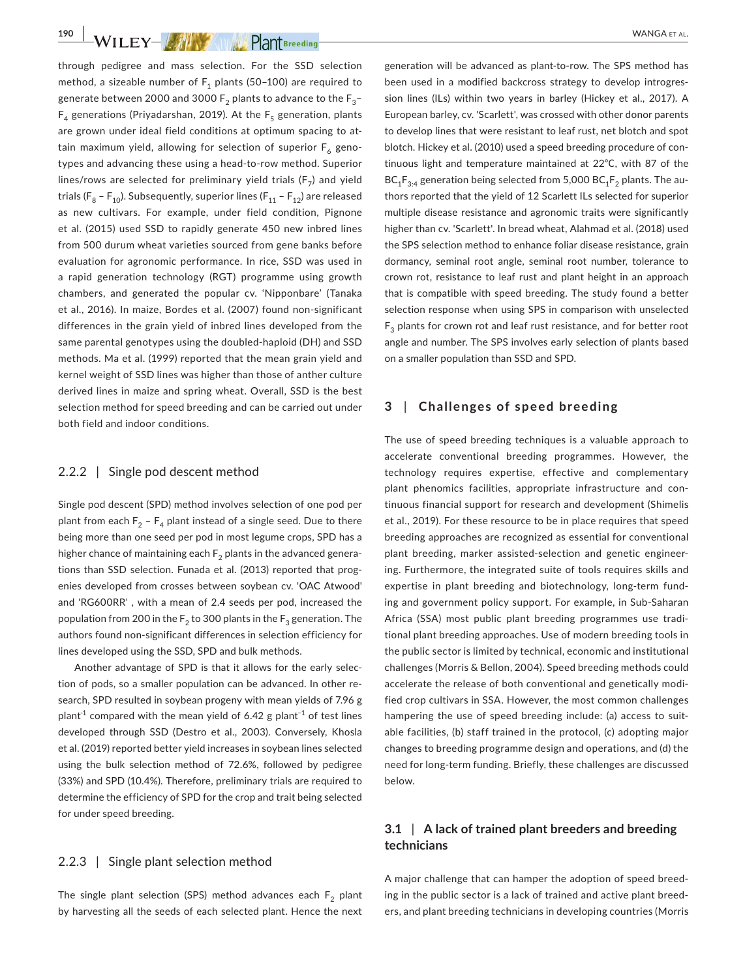through pedigree and mass selection. For the SSD selection method, a sizeable number of  $F_1$  plants (50-100) are required to generate between 2000 and 3000  $F_2$  plants to advance to the  $F_3$ - $F_4$  generations (Priyadarshan, 2019). At the  $F_5$  generation, plants are grown under ideal field conditions at optimum spacing to attain maximum yield, allowing for selection of superior  $F<sub>6</sub>$  genotypes and advancing these using a head-to-row method. Superior lines/rows are selected for preliminary yield trials  $(F_7)$  and yield trials ( $F_8$  –  $F_{10}$ ). Subsequently, superior lines ( $F_{11}$  –  $F_{12}$ ) are released as new cultivars. For example, under field condition, Pignone et al. (2015) used SSD to rapidly generate 450 new inbred lines from 500 durum wheat varieties sourced from gene banks before evaluation for agronomic performance. In rice, SSD was used in a rapid generation technology (RGT) programme using growth chambers, and generated the popular cv. 'Nipponbare' (Tanaka et al., 2016). In maize, Bordes et al. (2007) found non-significant differences in the grain yield of inbred lines developed from the same parental genotypes using the doubled-haploid (DH) and SSD methods. Ma et al. (1999) reported that the mean grain yield and kernel weight of SSD lines was higher than those of anther culture derived lines in maize and spring wheat. Overall, SSD is the best selection method for speed breeding and can be carried out under both field and indoor conditions.

### 2.2.2 | Single pod descent method

Single pod descent (SPD) method involves selection of one pod per plant from each  $F_2 - F_4$  plant instead of a single seed. Due to there being more than one seed per pod in most legume crops, SPD has a higher chance of maintaining each  $F<sub>2</sub>$  plants in the advanced generations than SSD selection. Funada et al. (2013) reported that progenies developed from crosses between soybean cv. 'OAC Atwood' and 'RG600RR' , with a mean of 2.4 seeds per pod, increased the population from 200 in the  $F_2$  to 300 plants in the  $F_3$  generation. The authors found non-significant differences in selection efficiency for lines developed using the SSD, SPD and bulk methods.

Another advantage of SPD is that it allows for the early selection of pods, so a smaller population can be advanced. In other research, SPD resulted in soybean progeny with mean yields of 7.96 g plant $^{\rm 1}$  compared with the mean yield of 6.42 g plant $^{\rm 1}$  of test lines developed through SSD (Destro et al., 2003). Conversely, Khosla et al. (2019) reported better yield increases in soybean lines selected using the bulk selection method of 72.6%, followed by pedigree (33%) and SPD (10.4%). Therefore, preliminary trials are required to determine the efficiency of SPD for the crop and trait being selected for under speed breeding.

### 2.2.3 | Single plant selection method

The single plant selection (SPS) method advances each  $F_2$  plant by harvesting all the seeds of each selected plant. Hence the next

generation will be advanced as plant-to-row. The SPS method has been used in a modified backcross strategy to develop introgression lines (ILs) within two years in barley (Hickey et al., 2017). A European barley, cv. 'Scarlett', was crossed with other donor parents to develop lines that were resistant to leaf rust, net blotch and spot blotch. Hickey et al. (2010) used a speed breeding procedure of continuous light and temperature maintained at 22℃, with 87 of the  $BC_1F_{3:4}$  generation being selected from 5,000 BC<sub>1</sub>F<sub>2</sub> plants. The authors reported that the yield of 12 Scarlett ILs selected for superior multiple disease resistance and agronomic traits were significantly higher than cv. 'Scarlett'. In bread wheat, Alahmad et al. (2018) used the SPS selection method to enhance foliar disease resistance, grain dormancy, seminal root angle, seminal root number, tolerance to crown rot, resistance to leaf rust and plant height in an approach that is compatible with speed breeding. The study found a better selection response when using SPS in comparison with unselected  $F<sub>3</sub>$  plants for crown rot and leaf rust resistance, and for better root angle and number. The SPS involves early selection of plants based on a smaller population than SSD and SPD.

### **3** | **Challenges of speed breeding**

The use of speed breeding techniques is a valuable approach to accelerate conventional breeding programmes. However, the technology requires expertise, effective and complementary plant phenomics facilities, appropriate infrastructure and continuous financial support for research and development (Shimelis et al., 2019). For these resource to be in place requires that speed breeding approaches are recognized as essential for conventional plant breeding, marker assisted-selection and genetic engineering. Furthermore, the integrated suite of tools requires skills and expertise in plant breeding and biotechnology, long-term funding and government policy support. For example, in Sub-Saharan Africa (SSA) most public plant breeding programmes use traditional plant breeding approaches. Use of modern breeding tools in the public sector is limited by technical, economic and institutional challenges (Morris & Bellon, 2004). Speed breeding methods could accelerate the release of both conventional and genetically modified crop cultivars in SSA. However, the most common challenges hampering the use of speed breeding include: (a) access to suitable facilities, (b) staff trained in the protocol, (c) adopting major changes to breeding programme design and operations, and (d) the need for long-term funding. Briefly, these challenges are discussed below.

# **3.1** | **A lack of trained plant breeders and breeding technicians**

A major challenge that can hamper the adoption of speed breeding in the public sector is a lack of trained and active plant breeders, and plant breeding technicians in developing countries (Morris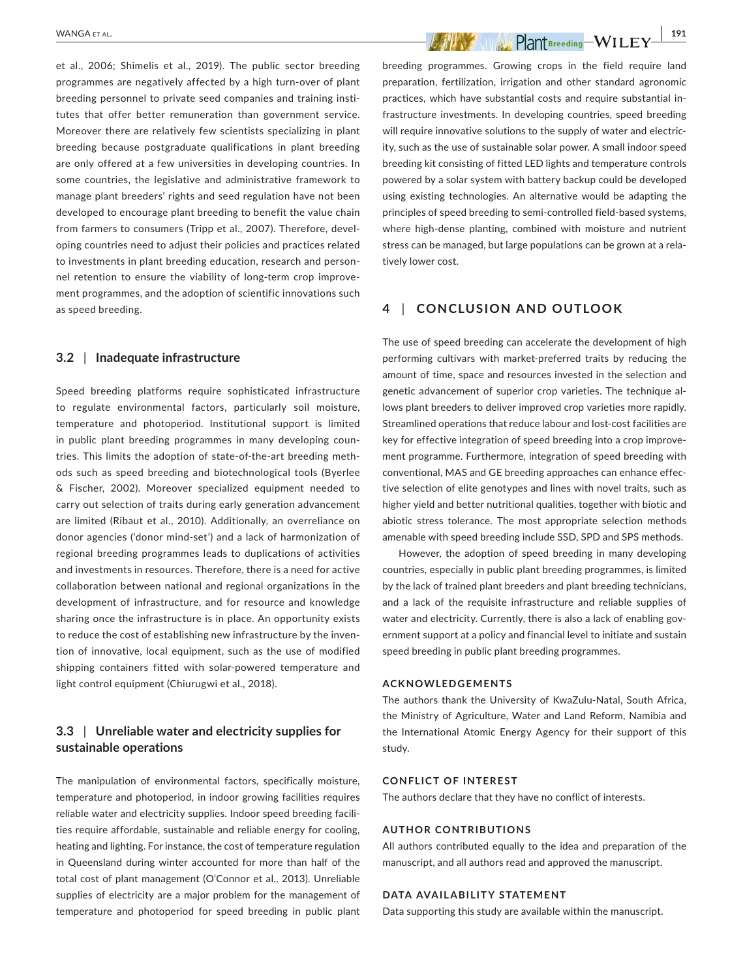et al., 2006; Shimelis et al., 2019). The public sector breeding programmes are negatively affected by a high turn-over of plant breeding personnel to private seed companies and training institutes that offer better remuneration than government service. Moreover there are relatively few scientists specializing in plant breeding because postgraduate qualifications in plant breeding are only offered at a few universities in developing countries. In some countries, the legislative and administrative framework to manage plant breeders' rights and seed regulation have not been developed to encourage plant breeding to benefit the value chain from farmers to consumers (Tripp et al., 2007). Therefore, developing countries need to adjust their policies and practices related to investments in plant breeding education, research and personnel retention to ensure the viability of long-term crop improvement programmes, and the adoption of scientific innovations such as speed breeding.

### **3.2** | **Inadequate infrastructure**

Speed breeding platforms require sophisticated infrastructure to regulate environmental factors, particularly soil moisture, temperature and photoperiod. Institutional support is limited in public plant breeding programmes in many developing countries. This limits the adoption of state-of-the-art breeding methods such as speed breeding and biotechnological tools (Byerlee & Fischer, 2002). Moreover specialized equipment needed to carry out selection of traits during early generation advancement are limited (Ribaut et al., 2010). Additionally, an overreliance on donor agencies ('donor mind-set') and a lack of harmonization of regional breeding programmes leads to duplications of activities and investments in resources. Therefore, there is a need for active collaboration between national and regional organizations in the development of infrastructure, and for resource and knowledge sharing once the infrastructure is in place. An opportunity exists to reduce the cost of establishing new infrastructure by the invention of innovative, local equipment, such as the use of modified shipping containers fitted with solar-powered temperature and light control equipment (Chiurugwi et al., 2018).

### **3.3** | **Unreliable water and electricity supplies for sustainable operations**

The manipulation of environmental factors, specifically moisture, temperature and photoperiod, in indoor growing facilities requires reliable water and electricity supplies. Indoor speed breeding facilities require affordable, sustainable and reliable energy for cooling, heating and lighting. For instance, the cost of temperature regulation in Queensland during winter accounted for more than half of the total cost of plant management (O'Connor et al., 2013). Unreliable supplies of electricity are a major problem for the management of temperature and photoperiod for speed breeding in public plant

 **<u>MANGA ET AL.</u> 191** 

breeding programmes. Growing crops in the field require land preparation, fertilization, irrigation and other standard agronomic practices, which have substantial costs and require substantial infrastructure investments. In developing countries, speed breeding will require innovative solutions to the supply of water and electricity, such as the use of sustainable solar power. A small indoor speed breeding kit consisting of fitted LED lights and temperature controls powered by a solar system with battery backup could be developed using existing technologies. An alternative would be adapting the principles of speed breeding to semi-controlled field-based systems, where high-dense planting, combined with moisture and nutrient stress can be managed, but large populations can be grown at a relatively lower cost.

### **4** | **CONCLUSION AND OUTLOOK**

The use of speed breeding can accelerate the development of high performing cultivars with market-preferred traits by reducing the amount of time, space and resources invested in the selection and genetic advancement of superior crop varieties. The technique allows plant breeders to deliver improved crop varieties more rapidly. Streamlined operations that reduce labour and lost-cost facilities are key for effective integration of speed breeding into a crop improvement programme. Furthermore, integration of speed breeding with conventional, MAS and GE breeding approaches can enhance effective selection of elite genotypes and lines with novel traits, such as higher yield and better nutritional qualities, together with biotic and abiotic stress tolerance. The most appropriate selection methods amenable with speed breeding include SSD, SPD and SPS methods.

However, the adoption of speed breeding in many developing countries, especially in public plant breeding programmes, is limited by the lack of trained plant breeders and plant breeding technicians, and a lack of the requisite infrastructure and reliable supplies of water and electricity. Currently, there is also a lack of enabling government support at a policy and financial level to initiate and sustain speed breeding in public plant breeding programmes.

#### **ACKNOWLEDGEMENTS**

The authors thank the University of KwaZulu-Natal, South Africa, the Ministry of Agriculture, Water and Land Reform, Namibia and the International Atomic Energy Agency for their support of this study.

#### **CONFLICT OF INTEREST**

The authors declare that they have no conflict of interests.

#### **AUTHOR CONTRIBUTIONS**

All authors contributed equally to the idea and preparation of the manuscript, and all authors read and approved the manuscript.

### **DATA AVAILABILITY STATEMENT**

Data supporting this study are available within the manuscript.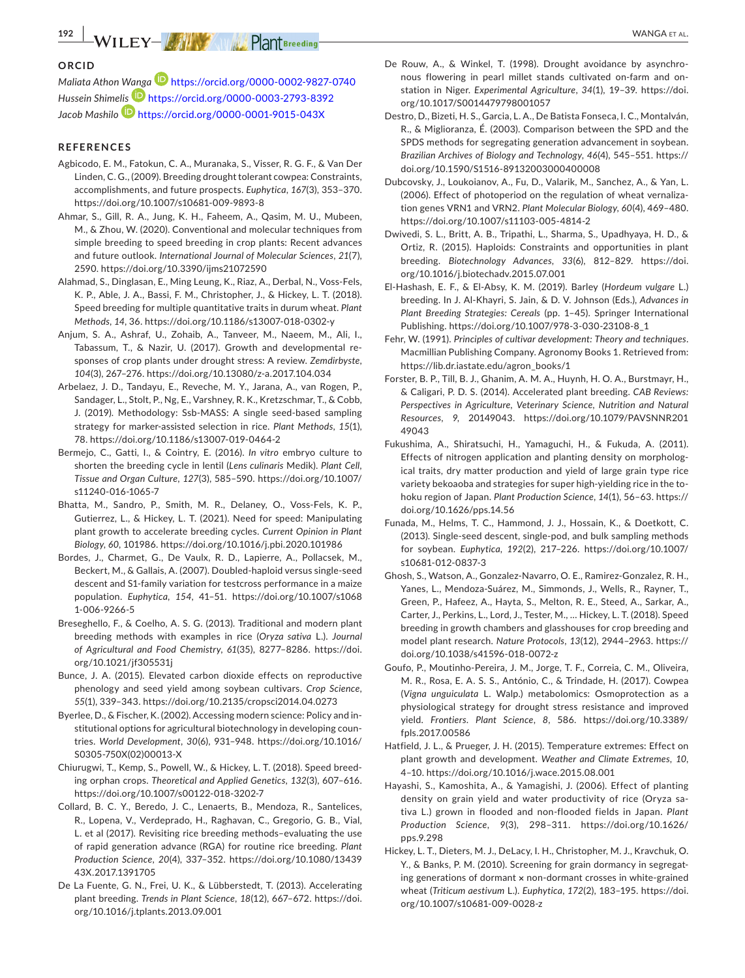#### **ORCID**

*Maliata Athon [Wanga](https://orcid.org/0000-0003-2793-8392)* <https://orcid.org/0000-0002-9827-0740> *Hussein Shim[elis](https://orcid.org/0000-0001-9015-043X)* <https://orcid.org/0000-0003-2793-8392> *Jacob Mashilo* <https://orcid.org/0000-0001-9015-043X>

#### **REFERENCES**

- Agbicodo, E. M., Fatokun, C. A., Muranaka, S., Visser, R. G. F., & Van Der Linden, C. G., (2009). Breeding drought tolerant cowpea: Constraints, accomplishments, and future prospects. *Euphytica*, *167*(3), 353–370. <https://doi.org/10.1007/s10681-009-9893-8>
- Ahmar, S., Gill, R. A., Jung, K. H., Faheem, A., Qasim, M. U., Mubeen, M., & Zhou, W. (2020). Conventional and molecular techniques from simple breeding to speed breeding in crop plants: Recent advances and future outlook. *International Journal of Molecular Sciences*, *21*(7), 2590. <https://doi.org/10.3390/ijms21072590>
- Alahmad, S., Dinglasan, E., Ming Leung, K., Riaz, A., Derbal, N., Voss-Fels, K. P., Able, J. A., Bassi, F. M., Christopher, J., & Hickey, L. T. (2018). Speed breeding for multiple quantitative traits in durum wheat. *Plant Methods*, *14*, 36. <https://doi.org/10.1186/s13007-018-0302-y>
- Anjum, S. A., Ashraf, U., Zohaib, A., Tanveer, M., Naeem, M., Ali, I., Tabassum, T., & Nazir, U. (2017). Growth and developmental responses of crop plants under drought stress: A review. *Zemdirbyste*, *104*(3), 267–276.<https://doi.org/10.13080/z-a.2017.104.034>
- Arbelaez, J. D., Tandayu, E., Reveche, M. Y., Jarana, A., van Rogen, P., Sandager, L., Stolt, P., Ng, E., Varshney, R. K., Kretzschmar, T., & Cobb, J. (2019). Methodology: Ssb-MASS: A single seed-based sampling strategy for marker-assisted selection in rice. *Plant Methods*, *15*(1), 78.<https://doi.org/10.1186/s13007-019-0464-2>
- Bermejo, C., Gatti, I., & Cointry, E. (2016). *In vitro* embryo culture to shorten the breeding cycle in lentil (*Lens culinaris* Medik). *Plant Cell, Tissue and Organ Culture*, *127*(3), 585–590. [https://doi.org/10.1007/](https://doi.org/10.1007/s11240-016-1065-7) [s11240-016-1065-7](https://doi.org/10.1007/s11240-016-1065-7)
- Bhatta, M., Sandro, P., Smith, M. R., Delaney, O., Voss-Fels, K. P., Gutierrez, L., & Hickey, L. T. (2021). Need for speed: Manipulating plant growth to accelerate breeding cycles. *Current Opinion in Plant Biology*, *60*, 101986.<https://doi.org/10.1016/j.pbi.2020.101986>
- Bordes, J., Charmet, G., De Vaulx, R. D., Lapierre, A., Pollacsek, M., Beckert, M., & Gallais, A. (2007). Doubled-haploid versus single-seed descent and S1-family variation for testcross performance in a maize population. *Euphytica*, *154*, 41–51. [https://doi.org/10.1007/s1068](https://doi.org/10.1007/s10681-006-9266-5) [1-006-9266-5](https://doi.org/10.1007/s10681-006-9266-5)
- Breseghello, F., & Coelho, A. S. G. (2013). Traditional and modern plant breeding methods with examples in rice (*Oryza sativa* L.). *Journal of Agricultural and Food Chemistry*, *61*(35), 8277–8286. [https://doi.](https://doi.org/10.1021/jf305531j) [org/10.1021/jf305531j](https://doi.org/10.1021/jf305531j)
- Bunce, J. A. (2015). Elevated carbon dioxide effects on reproductive phenology and seed yield among soybean cultivars. *Crop Science*, *55*(1), 339–343.<https://doi.org/10.2135/cropsci2014.04.0273>
- Byerlee, D., & Fischer, K. (2002). Accessing modern science: Policy and institutional options for agricultural biotechnology in developing countries. *World Development*, *30*(6), 931–948. [https://doi.org/10.1016/](https://doi.org/10.1016/S0305-750X(02)00013-X) [S0305-750X\(02\)00013-X](https://doi.org/10.1016/S0305-750X(02)00013-X)
- Chiurugwi, T., Kemp, S., Powell, W., & Hickey, L. T. (2018). Speed breeding orphan crops. *Theoretical and Applied Genetics*, *132*(3), 607–616. <https://doi.org/10.1007/s00122-018-3202-7>
- Collard, B. C. Y., Beredo, J. C., Lenaerts, B., Mendoza, R., Santelices, R., Lopena, V., Verdeprado, H., Raghavan, C., Gregorio, G. B., Vial, L. et al (2017). Revisiting rice breeding methods–evaluating the use of rapid generation advance (RGA) for routine rice breeding. *Plant Production Science*, *20*(4), 337–352. [https://doi.org/10.1080/13439](https://doi.org/10.1080/1343943X.2017.1391705) [43X.2017.1391705](https://doi.org/10.1080/1343943X.2017.1391705)
- De La Fuente, G. N., Frei, U. K., & Lübberstedt, T. (2013). Accelerating plant breeding. *Trends in Plant Science*, *18*(12), 667–672. [https://doi.](https://doi.org/10.1016/j.tplants.2013.09.001) [org/10.1016/j.tplants.2013.09.001](https://doi.org/10.1016/j.tplants.2013.09.001)
- De Rouw, A., & Winkel, T. (1998). Drought avoidance by asynchronous flowering in pearl millet stands cultivated on-farm and onstation in Niger. *Experimental Agriculture*, *34*(1), 19–39. [https://doi.](https://doi.org/10.1017/S0014479798001057) [org/10.1017/S0014479798001057](https://doi.org/10.1017/S0014479798001057)
- Destro, D., Bizeti, H. S., Garcia, L. A., De Batista Fonseca, I. C., Montalván, R., & Miglioranza, É. (2003). Comparison between the SPD and the SPDS methods for segregating generation advancement in soybean. *Brazilian Archives of Biology and Technology*, *46*(4), 545–551. [https://](https://doi.org/10.1590/S1516-89132003000400008) [doi.org/10.1590/S1516-89132003000400008](https://doi.org/10.1590/S1516-89132003000400008)
- Dubcovsky, J., Loukoianov, A., Fu, D., Valarik, M., Sanchez, A., & Yan, L. (2006). Effect of photoperiod on the regulation of wheat vernalization genes VRN1 and VRN2. *Plant Molecular Biology*, *60*(4), 469–480. <https://doi.org/10.1007/s11103-005-4814-2>
- Dwivedi, S. L., Britt, A. B., Tripathi, L., Sharma, S., Upadhyaya, H. D., & Ortiz, R. (2015). Haploids: Constraints and opportunities in plant breeding. *Biotechnology Advances*, *33*(6), 812–829. [https://doi.](https://doi.org/10.1016/j.biotechadv.2015.07.001) [org/10.1016/j.biotechadv.2015.07.001](https://doi.org/10.1016/j.biotechadv.2015.07.001)
- El-Hashash, E. F., & El-Absy, K. M. (2019). Barley (*Hordeum vulgare* L.) breeding. In J. Al-Khayri, S. Jain, & D. V. Johnson (Eds.), *Advances in Plant Breeding Strategies: Cereals* (pp. 1–45). Springer International Publishing. [https://doi.org/10.1007/978-3-030-23108-8\\_1](https://doi.org/10.1007/978-3-030-23108-8_1)
- Fehr, W. (1991). *Principles of cultivar development: Theory and techniques*. Macmillian Publishing Company. Agronomy Books 1. Retrieved from: [https://lib.dr.iastate.edu/agron\\_books/1](https://lib.dr.iastate.edu/agron_books/1)
- Forster, B. P., Till, B. J., Ghanim, A. M. A., Huynh, H. O. A., Burstmayr, H., & Caligari, P. D. S. (2014). Accelerated plant breeding. *CAB Reviews: Perspectives in Agriculture, Veterinary Science, Nutrition and Natural Resources*, *9*, 20149043. [https://doi.org/10.1079/PAVSNNR201](https://doi.org/10.1079/PAVSNNR20149043) [49043](https://doi.org/10.1079/PAVSNNR20149043)
- Fukushima, A., Shiratsuchi, H., Yamaguchi, H., & Fukuda, A. (2011). Effects of nitrogen application and planting density on morphological traits, dry matter production and yield of large grain type rice variety bekoaoba and strategies for super high-yielding rice in the tohoku region of Japan. *Plant Production Science*, *14*(1), 56–63. [https://](https://doi.org/10.1626/pps.14.56) [doi.org/10.1626/pps.14.56](https://doi.org/10.1626/pps.14.56)
- Funada, M., Helms, T. C., Hammond, J. J., Hossain, K., & Doetkott, C. (2013). Single-seed descent, single-pod, and bulk sampling methods for soybean. *Euphytica*, *192*(2), 217–226. [https://doi.org/10.1007/](https://doi.org/10.1007/s10681-012-0837-3) [s10681-012-0837-3](https://doi.org/10.1007/s10681-012-0837-3)
- Ghosh, S., Watson, A., Gonzalez-Navarro, O. E., Ramirez-Gonzalez, R. H., Yanes, L., Mendoza-Suárez, M., Simmonds, J., Wells, R., Rayner, T., Green, P., Hafeez, A., Hayta, S., Melton, R. E., Steed, A., Sarkar, A., Carter, J., Perkins, L., Lord, J., Tester, M., … Hickey, L. T. (2018). Speed breeding in growth chambers and glasshouses for crop breeding and model plant research. *Nature Protocols*, *13*(12), 2944–2963. [https://](https://doi.org/10.1038/s41596-018-0072-z) [doi.org/10.1038/s41596-018-0072-z](https://doi.org/10.1038/s41596-018-0072-z)
- Goufo, P., Moutinho-Pereira, J. M., Jorge, T. F., Correia, C. M., Oliveira, M. R., Rosa, E. A. S. S., António, C., & Trindade, H. (2017). Cowpea (*Vigna unguiculata* L. Walp.) metabolomics: Osmoprotection as a physiological strategy for drought stress resistance and improved yield. *Frontiers*. *Plant Science*, *8*, 586. [https://doi.org/10.3389/](https://doi.org/10.3389/fpls.2017.00586) [fpls.2017.00586](https://doi.org/10.3389/fpls.2017.00586)
- Hatfield, J. L., & Prueger, J. H. (2015). Temperature extremes: Effect on plant growth and development. *Weather and Climate Extremes*, *10*, 4–10.<https://doi.org/10.1016/j.wace.2015.08.001>
- Hayashi, S., Kamoshita, A., & Yamagishi, J. (2006). Effect of planting density on grain yield and water productivity of rice (Oryza sativa L.) grown in flooded and non-flooded fields in Japan. *Plant Production Science*, *9*(3), 298–311. [https://doi.org/10.1626/](https://doi.org/10.1626/pps.9.298) [pps.9.298](https://doi.org/10.1626/pps.9.298)
- Hickey, L. T., Dieters, M. J., DeLacy, I. H., Christopher, M. J., Kravchuk, O. Y., & Banks, P. M. (2010). Screening for grain dormancy in segregating generations of dormant *×* non-dormant crosses in white-grained wheat (*Triticum aestivum* L.). *Euphytica*, *172*(2), 183–195. [https://doi.](https://doi.org/10.1007/s10681-009-0028-z) [org/10.1007/s10681-009-0028-z](https://doi.org/10.1007/s10681-009-0028-z)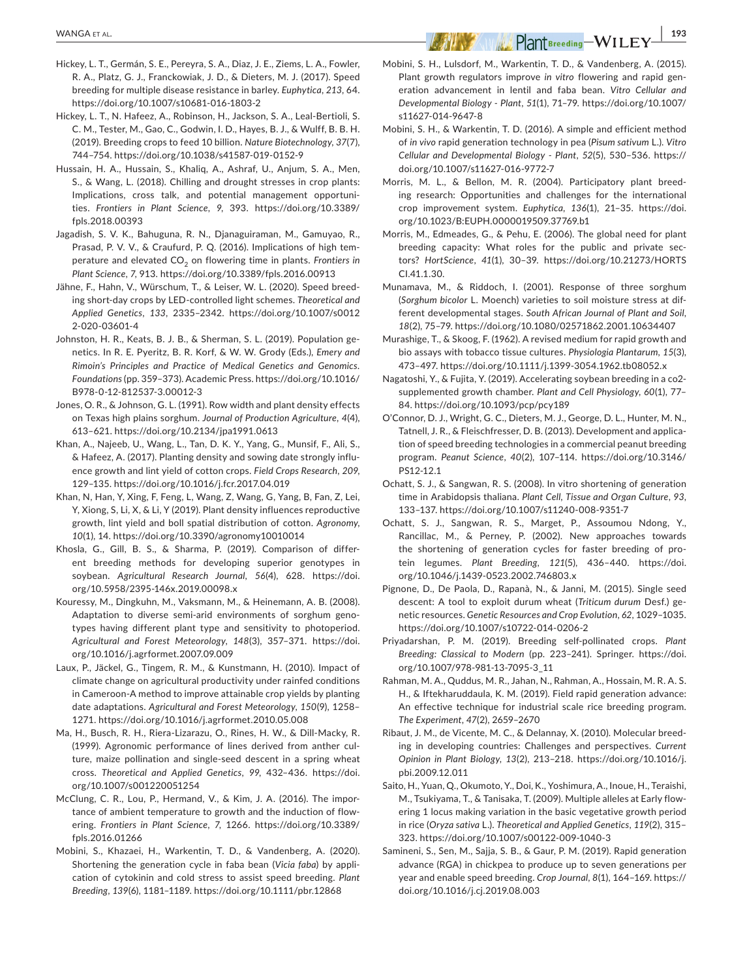**<u>MANGA ET AL.</u>** 193

- Hickey, L. T., Germán, S. E., Pereyra, S. A., Diaz, J. E., Ziems, L. A., Fowler, R. A., Platz, G. J., Franckowiak, J. D., & Dieters, M. J. (2017). Speed breeding for multiple disease resistance in barley. *Euphytica*, *213*, 64. <https://doi.org/10.1007/s10681-016-1803-2>
- Hickey, L. T., N. Hafeez, A., Robinson, H., Jackson, S. A., Leal-Bertioli, S. C. M., Tester, M., Gao, C., Godwin, I. D., Hayes, B. J., & Wulff, B. B. H. (2019). Breeding crops to feed 10 billion. *Nature Biotechnology*, *37*(7), 744–754.<https://doi.org/10.1038/s41587-019-0152-9>
- Hussain, H. A., Hussain, S., Khaliq, A., Ashraf, U., Anjum, S. A., Men, S., & Wang, L. (2018). Chilling and drought stresses in crop plants: Implications, cross talk, and potential management opportunities. *Frontiers in Plant Science*, *9*, 393. [https://doi.org/10.3389/](https://doi.org/10.3389/fpls.2018.00393) [fpls.2018.00393](https://doi.org/10.3389/fpls.2018.00393)
- Jagadish, S. V. K., Bahuguna, R. N., Djanaguiraman, M., Gamuyao, R., Prasad, P. V. V., & Craufurd, P. Q. (2016). Implications of high temperature and elevated CO<sub>2</sub> on flowering time in plants. *Frontiers in Plant Science*, *7*, 913.<https://doi.org/10.3389/fpls.2016.00913>
- Jähne, F., Hahn, V., Würschum, T., & Leiser, W. L. (2020). Speed breeding short-day crops by LED-controlled light schemes. *Theoretical and Applied Genetics*, *133*, 2335–2342. [https://doi.org/10.1007/s0012](https://doi.org/10.1007/s00122-020-03601-4) [2-020-03601-4](https://doi.org/10.1007/s00122-020-03601-4)
- Johnston, H. R., Keats, B. J. B., & Sherman, S. L. (2019). Population genetics. In R. E. Pyeritz, B. R. Korf, & W. W. Grody (Eds.), *Emery and Rimoin's Principles and Practice of Medical Genetics and Genomics. Foundations* (pp. 359–373). Academic Press. [https://doi.org/10.1016/](https://doi.org/10.1016/B978-0-12-812537-3.00012-3) [B978-0-12-812537-3.00012-3](https://doi.org/10.1016/B978-0-12-812537-3.00012-3)
- Jones, O. R., & Johnson, G. L. (1991). Row width and plant density effects on Texas high plains sorghum. *Journal of Production Agriculture*, *4*(4), 613–621. <https://doi.org/10.2134/jpa1991.0613>
- Khan, A., Najeeb, U., Wang, L., Tan, D. K. Y., Yang, G., Munsif, F., Ali, S., & Hafeez, A. (2017). Planting density and sowing date strongly influence growth and lint yield of cotton crops. *Field Crops Research*, *209*, 129–135.<https://doi.org/10.1016/j.fcr.2017.04.019>
- Khan, N, Han, Y, Xing, F, Feng, L, Wang, Z, Wang, G, Yang, B, Fan, Z, Lei, Y, Xiong, S, Li, X, & Li, Y (2019). Plant density influences reproductive growth, lint yield and boll spatial distribution of cotton. *Agronomy*, *10*(1), 14. <https://doi.org/10.3390/agronomy10010014>
- Khosla, G., Gill, B. S., & Sharma, P. (2019). Comparison of different breeding methods for developing superior genotypes in soybean. *Agricultural Research Journal*, *56*(4), 628. [https://doi.](https://doi.org/10.5958/2395-146x.2019.00098.x) [org/10.5958/2395-146x.2019.00098.x](https://doi.org/10.5958/2395-146x.2019.00098.x)
- Kouressy, M., Dingkuhn, M., Vaksmann, M., & Heinemann, A. B. (2008). Adaptation to diverse semi-arid environments of sorghum genotypes having different plant type and sensitivity to photoperiod. *Agricultural and Forest Meteorology*, *148*(3), 357–371. [https://doi.](https://doi.org/10.1016/j.agrformet.2007.09.009) [org/10.1016/j.agrformet.2007.09.009](https://doi.org/10.1016/j.agrformet.2007.09.009)
- Laux, P., Jäckel, G., Tingem, R. M., & Kunstmann, H. (2010). Impact of climate change on agricultural productivity under rainfed conditions in Cameroon-A method to improve attainable crop yields by planting date adaptations. *Agricultural and Forest Meteorology*, *150*(9), 1258– 1271. <https://doi.org/10.1016/j.agrformet.2010.05.008>
- Ma, H., Busch, R. H., Riera-Lizarazu, O., Rines, H. W., & Dill-Macky, R. (1999). Agronomic performance of lines derived from anther culture, maize pollination and single-seed descent in a spring wheat cross. *Theoretical and Applied Genetics*, *99*, 432–436. [https://doi.](https://doi.org/10.1007/s001220051254) [org/10.1007/s001220051254](https://doi.org/10.1007/s001220051254)
- McClung, C. R., Lou, P., Hermand, V., & Kim, J. A. (2016). The importance of ambient temperature to growth and the induction of flowering. *Frontiers in Plant Science*, *7*, 1266. [https://doi.org/10.3389/](https://doi.org/10.3389/fpls.2016.01266) [fpls.2016.01266](https://doi.org/10.3389/fpls.2016.01266)
- Mobini, S., Khazaei, H., Warkentin, T. D., & Vandenberg, A. (2020). Shortening the generation cycle in faba bean (*Vicia faba*) by application of cytokinin and cold stress to assist speed breeding. *Plant Breeding*, *139*(6), 1181–1189.<https://doi.org/10.1111/pbr.12868>
- Mobini, S. H., Lulsdorf, M., Warkentin, T. D., & Vandenberg, A. (2015). Plant growth regulators improve *in vitro* flowering and rapid generation advancement in lentil and faba bean. *Vitro Cellular and Developmental Biology - Plant*, *51*(1), 71–79. [https://doi.org/10.1007/](https://doi.org/10.1007/s11627-014-9647-8) [s11627-014-9647-8](https://doi.org/10.1007/s11627-014-9647-8)
- Mobini, S. H., & Warkentin, T. D. (2016). A simple and efficient method of *in vivo* rapid generation technology in pea (*Pisum sativum* L.). *Vitro Cellular and Developmental Biology - Plant*, *52*(5), 530–536. [https://](https://doi.org/10.1007/s11627-016-9772-7) [doi.org/10.1007/s11627-016-9772-7](https://doi.org/10.1007/s11627-016-9772-7)
- Morris, M. L., & Bellon, M. R. (2004). Participatory plant breeding research: Opportunities and challenges for the international crop improvement system. *Euphytica*, *136*(1), 21–35. [https://doi.](https://doi.org/10.1023/B:EUPH.0000019509.37769.b1) [org/10.1023/B:EUPH.0000019509.37769.b1](https://doi.org/10.1023/B:EUPH.0000019509.37769.b1)
- Morris, M., Edmeades, G., & Pehu, E. (2006). The global need for plant breeding capacity: What roles for the public and private sectors? *HortScience*, *41*(1), 30–39. [https://doi.org/10.21273/HORTS](https://doi.org/10.21273/HORTSCI.41.1.30) [CI.41.1.30.](https://doi.org/10.21273/HORTSCI.41.1.30)
- Munamava, M., & Riddoch, I. (2001). Response of three sorghum (*Sorghum bicolor* L. Moench) varieties to soil moisture stress at different developmental stages. *South African Journal of Plant and Soil*, *18*(2), 75–79. <https://doi.org/10.1080/02571862.2001.10634407>
- Murashige, T., & Skoog, F. (1962). A revised medium for rapid growth and bio assays with tobacco tissue cultures. *Physiologia Plantarum*, *15*(3), 473–497.<https://doi.org/10.1111/j.1399-3054.1962.tb08052.x>
- Nagatoshi, Y., & Fujita, Y. (2019). Accelerating soybean breeding in a co2 supplemented growth chamber. *Plant and Cell Physiology*, *60*(1), 77– 84. <https://doi.org/10.1093/pcp/pcy189>
- O'Connor, D. J., Wright, G. C., Dieters, M. J., George, D. L., Hunter, M. N., Tatnell, J. R., & Fleischfresser, D. B. (2013). Development and application of speed breeding technologies in a commercial peanut breeding program. *Peanut Science*, *40*(2), 107–114. [https://doi.org/10.3146/](https://doi.org/10.3146/PS12-12.1) [PS12-12.1](https://doi.org/10.3146/PS12-12.1)
- Ochatt, S. J., & Sangwan, R. S. (2008). In vitro shortening of generation time in Arabidopsis thaliana. *Plant Cell, Tissue and Organ Culture*, *93*, 133–137. <https://doi.org/10.1007/s11240-008-9351-7>
- Ochatt, S. J., Sangwan, R. S., Marget, P., Assoumou Ndong, Y., Rancillac, M., & Perney, P. (2002). New approaches towards the shortening of generation cycles for faster breeding of protein legumes. *Plant Breeding*, *121*(5), 436–440. [https://doi.](https://doi.org/10.1046/j.1439-0523.2002.746803.x) [org/10.1046/j.1439-0523.2002.746803.x](https://doi.org/10.1046/j.1439-0523.2002.746803.x)
- Pignone, D., De Paola, D., Rapanà, N., & Janni, M. (2015). Single seed descent: A tool to exploit durum wheat (*Triticum durum* Desf.) genetic resources. *Genetic Resources and Crop Evolution*, *62*, 1029–1035. <https://doi.org/10.1007/s10722-014-0206-2>
- Priyadarshan, P. M. (2019). Breeding self-pollinated crops. *Plant Breeding: Classical to Modern* (pp. 223–241). Springer. [https://doi.](https://doi.org/10.1007/978-981-13-7095-3_11) [org/10.1007/978-981-13-7095-3\\_11](https://doi.org/10.1007/978-981-13-7095-3_11)
- Rahman, M. A., Quddus, M. R., Jahan, N., Rahman, A., Hossain, M. R. A. S. H., & Iftekharuddaula, K. M. (2019). Field rapid generation advance: An effective technique for industrial scale rice breeding program. *The Experiment*, *47*(2), 2659–2670
- Ribaut, J. M., de Vicente, M. C., & Delannay, X. (2010). Molecular breeding in developing countries: Challenges and perspectives. *Current Opinion in Plant Biology*, *13*(2), 213–218. [https://doi.org/10.1016/j.](https://doi.org/10.1016/j.pbi.2009.12.011) [pbi.2009.12.011](https://doi.org/10.1016/j.pbi.2009.12.011)
- Saito, H., Yuan, Q., Okumoto, Y., Doi, K., Yoshimura, A., Inoue, H., Teraishi, M., Tsukiyama, T., & Tanisaka, T. (2009). Multiple alleles at Early flowering 1 locus making variation in the basic vegetative growth period in rice (*Oryza sativa* L.). *Theoretical and Applied Genetics*, *119*(2), 315– 323. <https://doi.org/10.1007/s00122-009-1040-3>
- Samineni, S., Sen, M., Sajja, S. B., & Gaur, P. M. (2019). Rapid generation advance (RGA) in chickpea to produce up to seven generations per year and enable speed breeding. *Crop Journal*, *8*(1), 164–169. [https://](https://doi.org/10.1016/j.cj.2019.08.003) [doi.org/10.1016/j.cj.2019.08.003](https://doi.org/10.1016/j.cj.2019.08.003)